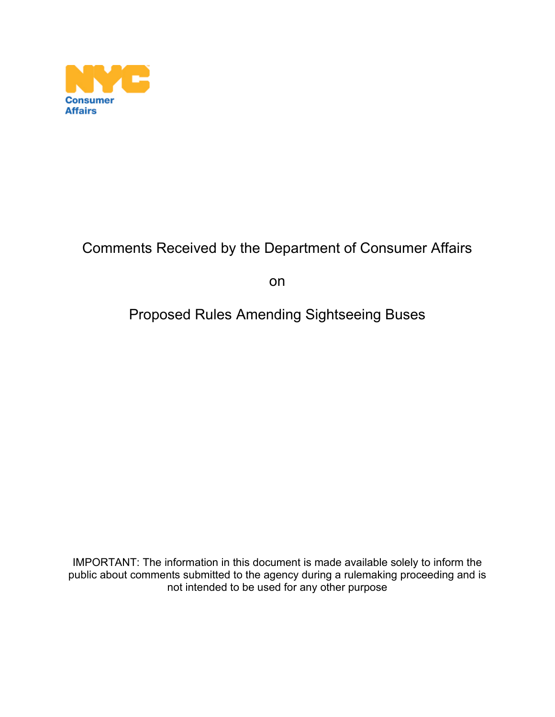

# Comments Received by the Department of Consumer Affairs

on

# Proposed Rules Amending Sightseeing Buses

IMPORTANT: The information in this document is made available solely to inform the public about comments submitted to the agency during a rulemaking proceeding and is not intended to be used for any other purpose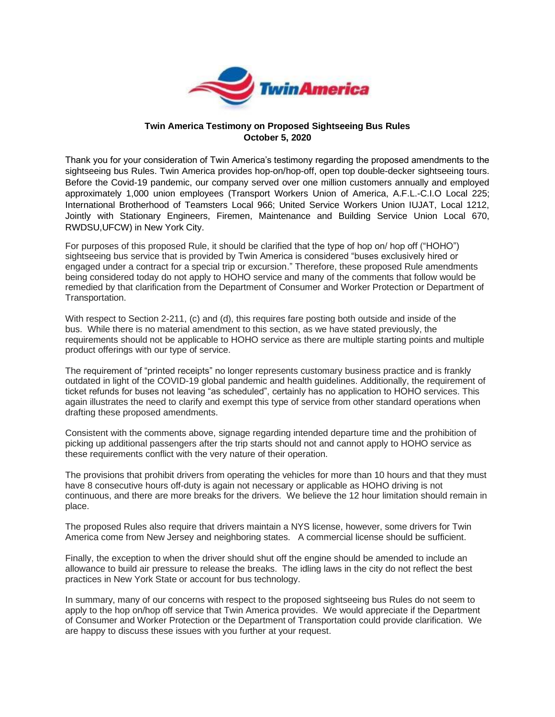

#### **Twin America Testimony on Proposed Sightseeing Bus Rules October 5, 2020**

Thank you for your consideration of Twin America's testimony regarding the proposed amendments to the sightseeing bus Rules. Twin America provides hop-on/hop-off, open top double-decker sightseeing tours. Before the Covid-19 pandemic, our company served over one million customers annually and employed approximately 1,000 union employees (Transport Workers Union of America, A.F.L.-C.I.O Local 225; International Brotherhood of Teamsters Local 966; United Service Workers Union IUJAT, Local 1212, Jointly with Stationary Engineers, Firemen, Maintenance and Building Service Union Local 670, RWDSU,UFCW) in New York City.

For purposes of this proposed Rule, it should be clarified that the type of hop on/ hop off ("HOHO") sightseeing bus service that is provided by Twin America is considered "buses exclusively hired or engaged under a contract for a special trip or excursion." Therefore, these proposed Rule amendments being considered today do not apply to HOHO service and many of the comments that follow would be remedied by that clarification from the Department of Consumer and Worker Protection or Department of Transportation.

With respect to Section 2-211, (c) and (d), this requires fare posting both outside and inside of the bus. While there is no material amendment to this section, as we have stated previously, the requirements should not be applicable to HOHO service as there are multiple starting points and multiple product offerings with our type of service.

The requirement of "printed receipts" no longer represents customary business practice and is frankly outdated in light of the COVID-19 global pandemic and health guidelines. Additionally, the requirement of ticket refunds for buses not leaving "as scheduled", certainly has no application to HOHO services. This again illustrates the need to clarify and exempt this type of service from other standard operations when drafting these proposed amendments.

Consistent with the comments above, signage regarding intended departure time and the prohibition of picking up additional passengers after the trip starts should not and cannot apply to HOHO service as these requirements conflict with the very nature of their operation.

The provisions that prohibit drivers from operating the vehicles for more than 10 hours and that they must have 8 consecutive hours off-duty is again not necessary or applicable as HOHO driving is not continuous, and there are more breaks for the drivers. We believe the 12 hour limitation should remain in place.

The proposed Rules also require that drivers maintain a NYS license, however, some drivers for Twin America come from New Jersey and neighboring states. A commercial license should be sufficient.

Finally, the exception to when the driver should shut off the engine should be amended to include an allowance to build air pressure to release the breaks. The idling laws in the city do not reflect the best practices in New York State or account for bus technology.

In summary, many of our concerns with respect to the proposed sightseeing bus Rules do not seem to apply to the hop on/hop off service that Twin America provides. We would appreciate if the Department of Consumer and Worker Protection or the Department of Transportation could provide clarification. We are happy to discuss these issues with you further at your request.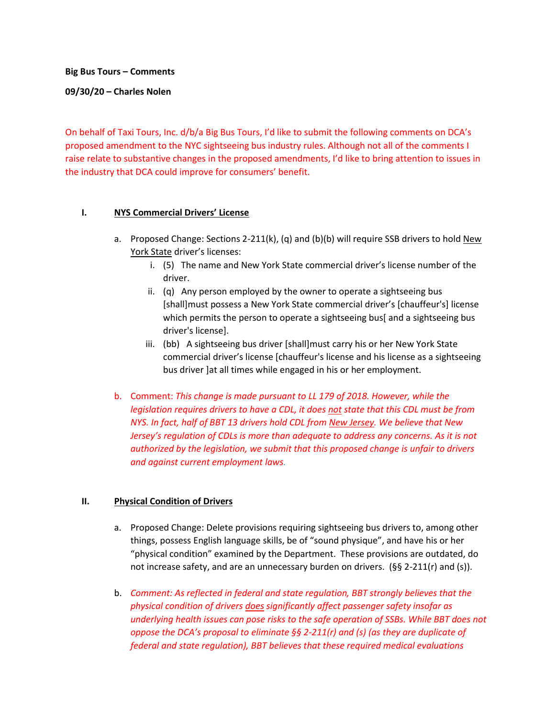**Big Bus Tours – Comments** 

**09/30/20 – Charles Nolen**

On behalf of Taxi Tours, Inc. d/b/a Big Bus Tours, I'd like to submit the following comments on DCA's proposed amendment to the NYC sightseeing bus industry rules. Although not all of the comments I raise relate to substantive changes in the proposed amendments, I'd like to bring attention to issues in the industry that DCA could improve for consumers' benefit.

## **I. NYS Commercial Drivers' License**

- a. Proposed Change: Sections 2-211(k), (q) and (b)(b) will require SSB drivers to hold New York State driver's licenses:
	- i. (5) The name and New York State commercial driver's license number of the driver.
	- ii. (q) Any person employed by the owner to operate a sightseeing bus [shall]must possess a New York State commercial driver's [chauffeur's] license which permits the person to operate a sightseeing bus[ and a sightseeing bus driver's license].
	- iii. (bb) A sightseeing bus driver [shall]must carry his or her New York State commercial driver's license [chauffeur's license and his license as a sightseeing bus driver ]at all times while engaged in his or her employment.
- b. Comment: *This change is made pursuant to LL 179 of 2018. However, while the legislation requires drivers to have a CDL, it does not state that this CDL must be from NYS. In fact, half of BBT 13 drivers hold CDL from New Jersey. We believe that New Jersey's regulation of CDLs is more than adequate to address any concerns. As it is not authorized by the legislation, we submit that this proposed change is unfair to drivers and against current employment laws.*

## **II. Physical Condition of Drivers**

- a. Proposed Change: Delete provisions requiring sightseeing bus drivers to, among other things, possess English language skills, be of "sound physique", and have his or her "physical condition" examined by the Department. These provisions are outdated, do not increase safety, and are an unnecessary burden on drivers. (§§ 2-211(r) and (s)).
- b. *Comment: As reflected in federal and state regulation, BBT strongly believes that the physical condition of drivers does significantly affect passenger safety insofar as underlying health issues can pose risks to the safe operation of SSBs. While BBT does not oppose the DCA's proposal to eliminate §§ 2-211(r) and (s) (as they are duplicate of federal and state regulation), BBT believes that these required medical evaluations*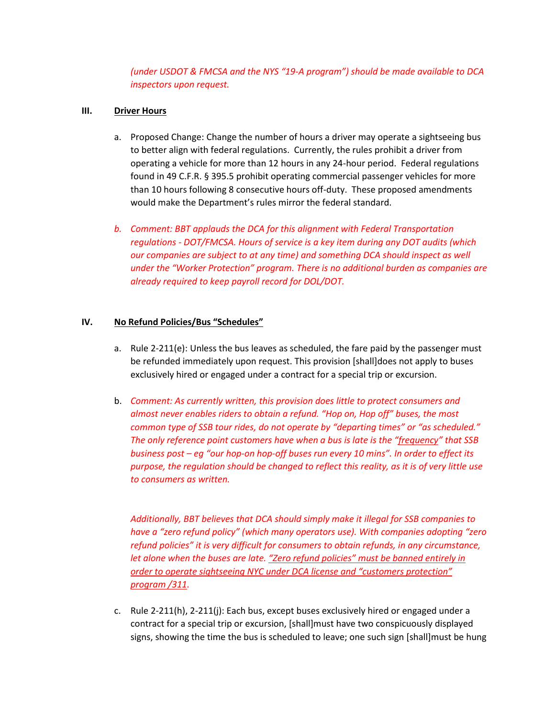*(under USDOT & FMCSA and the NYS "19-A program") should be made available to DCA inspectors upon request.*

## **III. Driver Hours**

- a. Proposed Change: Change the number of hours a driver may operate a sightseeing bus to better align with federal regulations. Currently, the rules prohibit a driver from operating a vehicle for more than 12 hours in any 24-hour period. Federal regulations found in 49 C.F.R. § 395.5 prohibit operating commercial passenger vehicles for more than 10 hours following 8 consecutive hours off-duty. These proposed amendments would make the Department's rules mirror the federal standard.
- *b. Comment: BBT applauds the DCA for this alignment with Federal Transportation regulations - DOT/FMCSA. Hours of service is a key item during any DOT audits (which our companies are subject to at any time) and something DCA should inspect as well under the "Worker Protection" program. There is no additional burden as companies are already required to keep payroll record for DOL/DOT.*

## **IV. No Refund Policies/Bus "Schedules"**

- a. Rule 2-211(e): Unless the bus leaves as scheduled, the fare paid by the passenger must be refunded immediately upon request. This provision [shall]does not apply to buses exclusively hired or engaged under a contract for a special trip or excursion.
- b. *Comment: As currently written, this provision does little to protect consumers and almost never enables riders to obtain a refund. "Hop on, Hop off" buses, the most common type of SSB tour rides, do not operate by "departing times" or "as scheduled." The only reference point customers have when a bus is late is the "frequency" that SSB business post – eg "our hop-on hop-off buses run every 10 mins". In order to effect its purpose, the regulation should be changed to reflect this reality, as it is of very little use to consumers as written.*

*Additionally, BBT believes that DCA should simply make it illegal for SSB companies to have a "zero refund policy" (which many operators use). With companies adopting "zero refund policies" it is very difficult for consumers to obtain refunds, in any circumstance, let alone when the buses are late. "Zero refund policies" must be banned entirely in order to operate sightseeing NYC under DCA license and "customers protection" program /311.*

c. Rule 2-211(h), 2-211(j): Each bus, except buses exclusively hired or engaged under a contract for a special trip or excursion, [shall]must have two conspicuously displayed signs, showing the time the bus is scheduled to leave; one such sign [shall]must be hung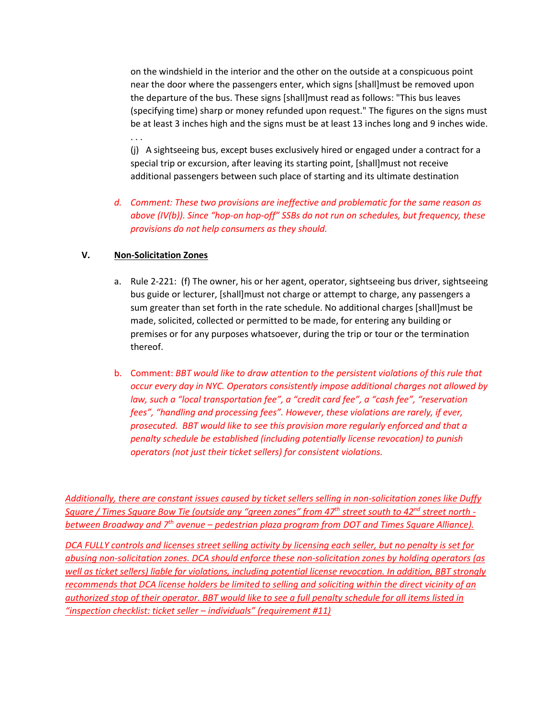on the windshield in the interior and the other on the outside at a conspicuous point near the door where the passengers enter, which signs [shall]must be removed upon the departure of the bus. These signs [shall]must read as follows: "This bus leaves (specifying time) sharp or money refunded upon request." The figures on the signs must be at least 3 inches high and the signs must be at least 13 inches long and 9 inches wide.

(j) A sightseeing bus, except buses exclusively hired or engaged under a contract for a special trip or excursion, after leaving its starting point, [shall]must not receive additional passengers between such place of starting and its ultimate destination

## *d. Comment: These two provisions are ineffective and problematic for the same reason as above (IV(b)). Since "hop-on hop-off" SSBs do not run on schedules, but frequency, these provisions do not help consumers as they should.*

## **V. Non-Solicitation Zones**

. . .

- a. Rule 2-221: (f) The owner, his or her agent, operator, sightseeing bus driver, sightseeing bus guide or lecturer, [shall]must not charge or attempt to charge, any passengers a sum greater than set forth in the rate schedule. No additional charges [shall]must be made, solicited, collected or permitted to be made, for entering any building or premises or for any purposes whatsoever, during the trip or tour or the termination thereof.
- b. Comment: *BBT would like to draw attention to the persistent violations of this rule that occur every day in NYC. Operators consistently impose additional charges not allowed by law, such a "local transportation fee", a "credit card fee", a "cash fee", "reservation fees", "handling and processing fees". However, these violations are rarely, if ever, prosecuted. BBT would like to see this provision more regularly enforced and that a penalty schedule be established (including potentially license revocation) to punish operators (not just their ticket sellers) for consistent violations.*

*Additionally, there are constant issues caused by ticket sellers selling in non-solicitation zones like Duffy Square / Times Square Bow Tie (outside any "green zones" from 47th street south to 42nd street north between Broadway and 7th avenue – pedestrian plaza program from DOT and Times Square Alliance).* 

*DCA FULLY controls and licenses street selling activity by licensing each seller, but no penalty is set for abusing non-solicitation zones. DCA should enforce these non-solicitation zones by holding operators (as well as ticket sellers) liable for violations, including potential license revocation. In addition, BBT strongly recommends that DCA license holders be limited to selling and soliciting within the direct vicinity of an authorized stop of their operator. BBT would like to see a full penalty schedule for all items listed in "inspection checklist: ticket seller – individuals" (requirement #11)*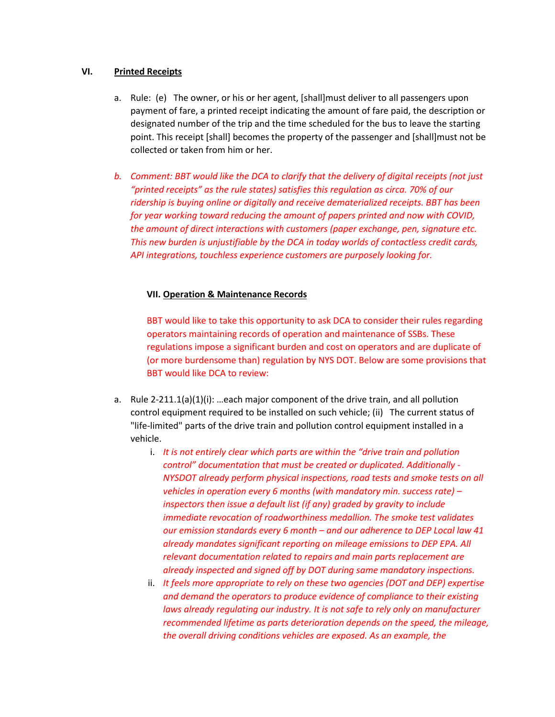#### **VI. Printed Receipts**

- a. Rule: (e) The owner, or his or her agent, [shall]must deliver to all passengers upon payment of fare, a printed receipt indicating the amount of fare paid, the description or designated number of the trip and the time scheduled for the bus to leave the starting point. This receipt [shall] becomes the property of the passenger and [shall]must not be collected or taken from him or her.
- *b. Comment: BBT would like the DCA to clarify that the delivery of digital receipts (not just "printed receipts" as the rule states) satisfies this regulation as circa. 70% of our ridership is buying online or digitally and receive dematerialized receipts. BBT has been for year working toward reducing the amount of papers printed and now with COVID, the amount of direct interactions with customers (paper exchange, pen, signature etc. This new burden is unjustifiable by the DCA in today worlds of contactless credit cards, API integrations, touchless experience customers are purposely looking for.*

## **VII. Operation & Maintenance Records**

BBT would like to take this opportunity to ask DCA to consider their rules regarding operators maintaining records of operation and maintenance of SSBs. These regulations impose a significant burden and cost on operators and are duplicate of (or more burdensome than) regulation by NYS DOT. Below are some provisions that BBT would like DCA to review:

- a. Rule 2-211.1(a)(1)(i): …each major component of the drive train, and all pollution control equipment required to be installed on such vehicle; (ii) The current status of "life-limited" parts of the drive train and pollution control equipment installed in a vehicle.
	- i. *It is not entirely clear which parts are within the "drive train and pollution control" documentation that must be created or duplicated. Additionally - NYSDOT already perform physical inspections, road tests and smoke tests on all vehicles in operation every 6 months (with mandatory min. success rate) – inspectors then issue a default list (if any) graded by gravity to include immediate revocation of roadworthiness medallion. The smoke test validates our emission standards every 6 month – and our adherence to DEP Local law 41 already mandates significant reporting on mileage emissions to DEP EPA. All relevant documentation related to repairs and main parts replacement are already inspected and signed off by DOT during same mandatory inspections.*
	- ii. *It feels more appropriate to rely on these two agencies (DOT and DEP) expertise and demand the operators to produce evidence of compliance to their existing laws already regulating our industry. It is not safe to rely only on manufacturer recommended lifetime as parts deterioration depends on the speed, the mileage, the overall driving conditions vehicles are exposed. As an example, the*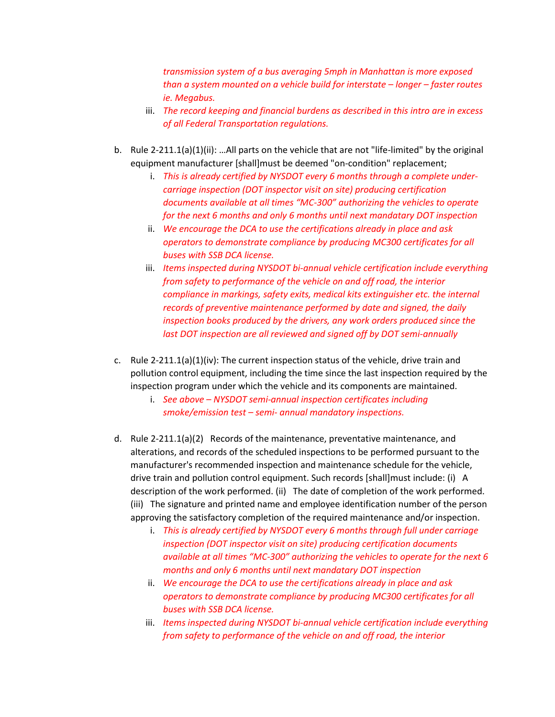*transmission system of a bus averaging 5mph in Manhattan is more exposed than a system mounted on a vehicle build for interstate – longer – faster routes ie. Megabus.* 

- iii. *The record keeping and financial burdens as described in this intro are in excess of all Federal Transportation regulations.*
- b. Rule 2-211.1(a)(1)(ii): …All parts on the vehicle that are not "life-limited" by the original equipment manufacturer [shall]must be deemed "on-condition" replacement;
	- i. *This is already certified by NYSDOT every 6 months through a complete undercarriage inspection (DOT inspector visit on site) producing certification documents available at all times "MC-300" authorizing the vehicles to operate for the next 6 months and only 6 months until next mandatary DOT inspection*
	- ii. *We encourage the DCA to use the certifications already in place and ask operators to demonstrate compliance by producing MC300 certificates for all buses with SSB DCA license.*
	- iii. *Items inspected during NYSDOT bi-annual vehicle certification include everything from safety to performance of the vehicle on and off road, the interior compliance in markings, safety exits, medical kits extinguisher etc. the internal records of preventive maintenance performed by date and signed, the daily inspection books produced by the drivers, any work orders produced since the last DOT inspection are all reviewed and signed off by DOT semi-annually*
- c. Rule 2-211.1(a)(1)(iv): The current inspection status of the vehicle, drive train and pollution control equipment, including the time since the last inspection required by the inspection program under which the vehicle and its components are maintained.
	- i. *See above – NYSDOT semi-annual inspection certificates including smoke/emission test – semi- annual mandatory inspections.*
- d. Rule 2-211.1(a)(2) Records of the maintenance, preventative maintenance, and alterations, and records of the scheduled inspections to be performed pursuant to the manufacturer's recommended inspection and maintenance schedule for the vehicle, drive train and pollution control equipment. Such records [shall]must include: (i) A description of the work performed. (ii) The date of completion of the work performed. (iii) The signature and printed name and employee identification number of the person approving the satisfactory completion of the required maintenance and/or inspection.
	- i. *This is already certified by NYSDOT every 6 months through full under carriage inspection (DOT inspector visit on site) producing certification documents available at all times "MC-300" authorizing the vehicles to operate for the next 6 months and only 6 months until next mandatary DOT inspection*
	- ii. *We encourage the DCA to use the certifications already in place and ask operators to demonstrate compliance by producing MC300 certificates for all buses with SSB DCA license.*
	- iii. *Items inspected during NYSDOT bi-annual vehicle certification include everything from safety to performance of the vehicle on and off road, the interior*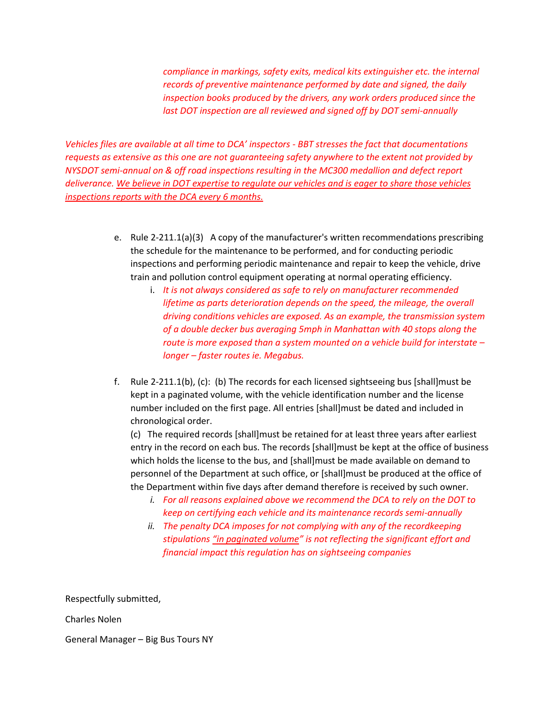*compliance in markings, safety exits, medical kits extinguisher etc. the internal records of preventive maintenance performed by date and signed, the daily inspection books produced by the drivers, any work orders produced since the last DOT inspection are all reviewed and signed off by DOT semi-annually* 

*Vehicles files are available at all time to DCA' inspectors - BBT stresses the fact that documentations requests as extensive as this one are not guaranteeing safety anywhere to the extent not provided by NYSDOT semi-annual on & off road inspections resulting in the MC300 medallion and defect report deliverance. We believe in DOT expertise to regulate our vehicles and is eager to share those vehicles inspections reports with the DCA every 6 months.* 

- e. Rule 2-211.1(a)(3) A copy of the manufacturer's written recommendations prescribing the schedule for the maintenance to be performed, and for conducting periodic inspections and performing periodic maintenance and repair to keep the vehicle, drive train and pollution control equipment operating at normal operating efficiency.
	- i. *It is not always considered as safe to rely on manufacturer recommended lifetime as parts deterioration depends on the speed, the mileage, the overall driving conditions vehicles are exposed. As an example, the transmission system of a double decker bus averaging 5mph in Manhattan with 40 stops along the route is more exposed than a system mounted on a vehicle build for interstate – longer – faster routes ie. Megabus.*
- f. Rule 2-211.1(b), (c): (b) The records for each licensed sightseeing bus [shall]must be kept in a paginated volume, with the vehicle identification number and the license number included on the first page. All entries [shall]must be dated and included in chronological order.

(c) The required records [shall]must be retained for at least three years after earliest entry in the record on each bus. The records [shall]must be kept at the office of business which holds the license to the bus, and [shall]must be made available on demand to personnel of the Department at such office, or [shall]must be produced at the office of the Department within five days after demand therefore is received by such owner.

- *i. For all reasons explained above we recommend the DCA to rely on the DOT to keep on certifying each vehicle and its maintenance records semi-annually*
- *ii. The penalty DCA imposes for not complying with any of the recordkeeping stipulations "in paginated volume" is not reflecting the significant effort and financial impact this regulation has on sightseeing companies*

Respectfully submitted,

Charles Nolen

General Manager – Big Bus Tours NY